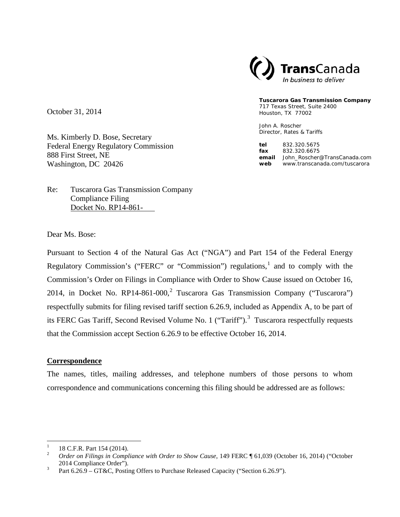

**Tuscarora Gas Transmission Company** 717 Texas Street, Suite 2400 Houston, TX 77002

John A. Roscher Director, Rates & Tariffs

**tel** 832.320.5675 **fax** 832.320.6675 **email** John\_Roscher@TransCanada.com **web** www.transcanada.com/tuscarora

October 31, 2014

Ms. Kimberly D. Bose, Secretary Federal Energy Regulatory Commission 888 First Street, NE Washington, DC 20426

Re: Tuscarora Gas Transmission Company Compliance Filing Docket No. RP14-861- .

Dear Ms. Bose:

Pursuant to Section 4 of the Natural Gas Act ("NGA") and Part 154 of the Federal Energy Regulatory Commission's ("FERC" or "Commission") regulations,<sup>[1](#page-0-0)</sup> and to comply with the Commission's Order on Filings in Compliance with Order to Show Cause issued on October 16, [2](#page-0-1)014, in Docket No. RP14-861-000,<sup>2</sup> Tuscarora Gas Transmission Company ("Tuscarora") respectfully submits for filing revised tariff section 6.26.9, included as Appendix A, to be part of its FERC Gas Tariff, Second Revised Volume No. 1 ("Tariff").<sup>[3](#page-0-2)</sup> Tuscarora respectfully requests that the Commission accept Section 6.26.9 to be effective October 16, 2014.

#### **Correspondence**

The names, titles, mailing addresses, and telephone numbers of those persons to whom correspondence and communications concerning this filing should be addressed are as follows:

<span id="page-0-1"></span><span id="page-0-0"></span><sup>&</sup>lt;sup>1</sup> 18 C.F.R. Part 154 (2014).<br><sup>2</sup> *Order on Filings in Compliance with Order to Show Cause*, 149 FERC ¶ 61,039 (October 16, 2014) ("October 2014 Compliance Order").<br><sup>3</sup> Part 6.26.9 – GT&C, Posting Offers to Purchase Released Capacity ("Section 6.26.9").

<span id="page-0-2"></span>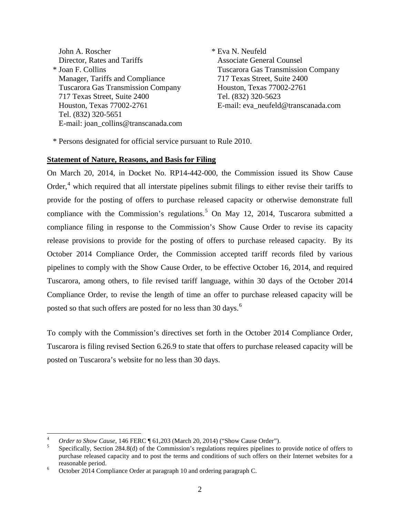John A. Roscher \* Eva N. Neufeld Director, Rates and Tariffs Associate General Counsel \* Joan F. Collins Tuscarora Gas Transmission Company Manager, Tariffs and Compliance 717 Texas Street, Suite 2400 Tuscarora Gas Transmission Company Houston, Texas 77002-2761 717 Texas Street, Suite 2400 Tel. (832) 320-5623 Houston, Texas 77002-2761 E-mail: eva\_neufeld@transcanada.com Tel. (832) 320-5651 E-mail: joan\_collins@transcanada.com

\* Persons designated for official service pursuant to Rule 2010.

#### **Statement of Nature, Reasons, and Basis for Filing**

On March 20, 2014, in Docket No. RP14-442-000, the Commission issued its Show Cause Order, $4$  which required that all interstate pipelines submit filings to either revise their tariffs to provide for the posting of offers to purchase released capacity or otherwise demonstrate full compliance with the Commission's regulations.<sup>[5](#page-1-1)</sup> On May 12, 2014, Tuscarora submitted a compliance filing in response to the Commission's Show Cause Order to revise its capacity release provisions to provide for the posting of offers to purchase released capacity. By its October 2014 Compliance Order, the Commission accepted tariff records filed by various pipelines to comply with the Show Cause Order, to be effective October 16, 2014, and required Tuscarora, among others, to file revised tariff language, within 30 days of the October 2014 Compliance Order, to revise the length of time an offer to purchase released capacity will be posted so that such offers are posted for no less than 30 days.<sup>[6](#page-1-2)</sup>

To comply with the Commission's directives set forth in the October 2014 Compliance Order, Tuscarora is filing revised Section 6.26.9 to state that offers to purchase released capacity will be posted on Tuscarora's website for no less than 30 days.

<span id="page-1-1"></span><span id="page-1-0"></span>*Order to Show Cause*, 146 FERC ¶ 61,203 (March 20, 2014) ("Show Cause Order").<br>Specifically, Section 284.8(d) of the Commission's regulations requires pipelines to provide notice of offers to purchase released capacity and to post the terms and conditions of such offers on their Internet websites for a reasonable period. <sup>6</sup> October 2014 Compliance Order at paragraph 10 and ordering paragraph C.

<span id="page-1-2"></span>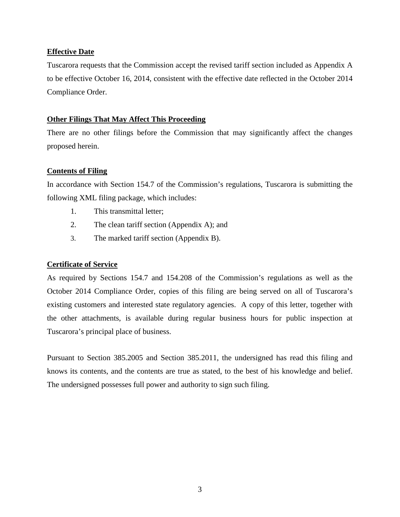### **Effective Date**

Tuscarora requests that the Commission accept the revised tariff section included as Appendix A to be effective October 16, 2014, consistent with the effective date reflected in the October 2014 Compliance Order.

### **Other Filings That May Affect This Proceeding**

There are no other filings before the Commission that may significantly affect the changes proposed herein.

### **Contents of Filing**

In accordance with Section 154.7 of the Commission's regulations, Tuscarora is submitting the following XML filing package, which includes:

- 1. This transmittal letter;
- 2. The clean tariff section (Appendix A); and
- 3. The marked tariff section (Appendix B).

## **Certificate of Service**

As required by Sections 154.7 and 154.208 of the Commission's regulations as well as the October 2014 Compliance Order, copies of this filing are being served on all of Tuscarora's existing customers and interested state regulatory agencies. A copy of this letter, together with the other attachments, is available during regular business hours for public inspection at Tuscarora's principal place of business.

Pursuant to Section 385.2005 and Section 385.2011, the undersigned has read this filing and knows its contents, and the contents are true as stated, to the best of his knowledge and belief. The undersigned possesses full power and authority to sign such filing.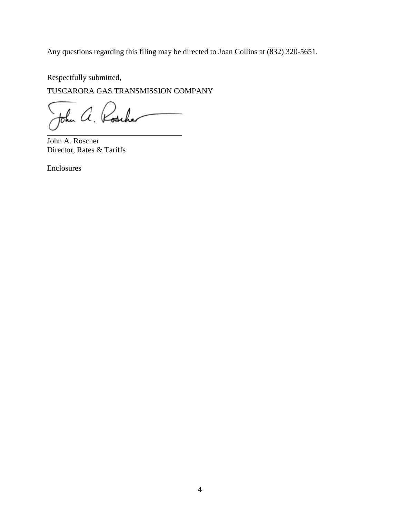Any questions regarding this filing may be directed to Joan Collins at (832) 320-5651.

Respectfully submitted,

TUSCARORA GAS TRANSMISSION COMPANY

John A. Rosche

John A. Roscher Director, Rates & Tariffs

Enclosures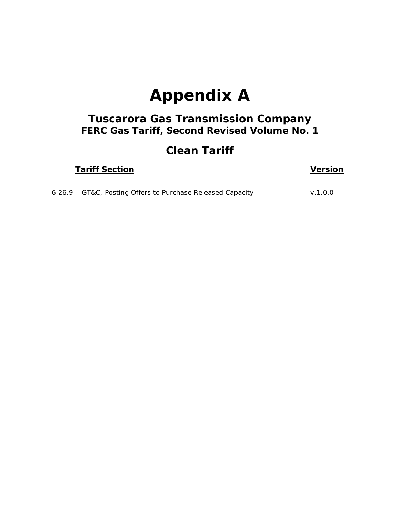# **Appendix A**

## *Tuscarora Gas Transmission Company FERC Gas Tariff, Second Revised Volume No. 1*

## **Clean Tariff**

|--|

## **<u>Version</u>**

| 6.26.9 - GT&C, Posting Offers to Purchase Released Capacity | v.1.0.0 |
|-------------------------------------------------------------|---------|
|-------------------------------------------------------------|---------|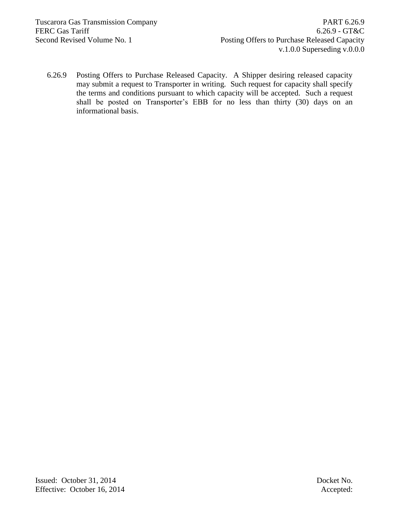6.26.9 Posting Offers to Purchase Released Capacity. A Shipper desiring released capacity may submit a request to Transporter in writing. Such request for capacity shall specify the terms and conditions pursuant to which capacity will be accepted. Such a request shall be posted on Transporter's EBB for no less than thirty (30) days on an informational basis.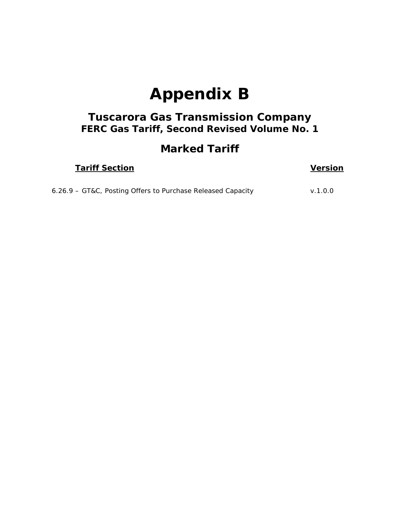# **Appendix B**

## *Tuscarora Gas Transmission Company FERC Gas Tariff, Second Revised Volume No. 1*

## **Marked Tariff**

| <b>Tariff Section</b> | <b>Version</b> |
|-----------------------|----------------|
|                       |                |

| 6.26.9 - GT&C, Posting Offers to Purchase Released Capacity |  |  | V.1.0.0 |
|-------------------------------------------------------------|--|--|---------|
|-------------------------------------------------------------|--|--|---------|